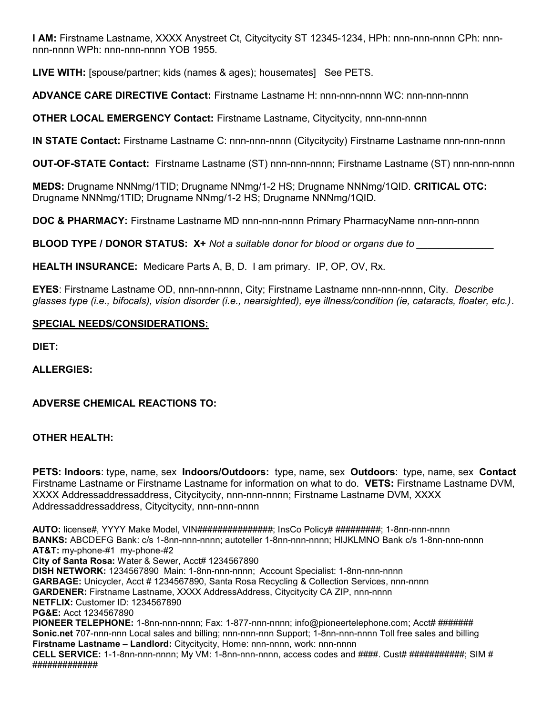**I AM:** Firstname Lastname, XXXX Anystreet Ct, Citycitycity ST 12345-1234, HPh: nnn-nnn-nnnn CPh: nnnnnn-nnnn WPh: nnn-nnn-nnnn YOB 1955.

**LIVE WITH:** [spouse/partner; kids (names & ages); housemates] See PETS.

**ADVANCE CARE DIRECTIVE Contact:** Firstname Lastname H: nnn-nnn-nnnn WC: nnn-nnn-nnnn

**OTHER LOCAL EMERGENCY Contact:** Firstname Lastname, Citycitycity, nnn-nnn-nnnn

**IN STATE Contact:** Firstname Lastname C: nnn-nnn-nnnn (Citycitycity) Firstname Lastname nnn-nnn-nnnn

**OUT-OF-STATE Contact:** Firstname Lastname (ST) nnn-nnn-nnnn; Firstname Lastname (ST) nnn-nnn-nnnn

**MEDS:** Drugname NNNmg/1TID; Drugname NNmg/1-2 HS; Drugname NNNmg/1QID. **CRITICAL OTC:** Drugname NNNmg/1TID; Drugname NNmg/1-2 HS; Drugname NNNmg/1QID.

**DOC & PHARMACY:** Firstname Lastname MD nnn-nnn-nnnn Primary PharmacyName nnn-nnn-nnnn

**BLOOD TYPE / DONOR STATUS: X+** *Not a suitable donor for blood or organs due to \_\_\_\_\_\_\_\_\_\_\_\_\_\_*

**HEALTH INSURANCE:** Medicare Parts A, B, D. I am primary. IP, OP, OV, Rx.

**EYES**: Firstname Lastname OD, nnn-nnn-nnnn, City; Firstname Lastname nnn-nnn-nnnn, City. *Describe glasses type (i.e., bifocals), vision disorder (i.e., nearsighted), eye illness/condition (ie, cataracts, floater, etc.)*.

## **SPECIAL NEEDS/CONSIDERATIONS:**

**DIET:**

**ALLERGIES:**

**ADVERSE CHEMICAL REACTIONS TO:**

## **OTHER HEALTH:**

**PETS: Indoors**: type, name, sex **Indoors/Outdoors:** type, name, sex **Outdoors**: type, name, sex **Contact** Firstname Lastname or Firstname Lastname for information on what to do. **VETS:** Firstname Lastname DVM, XXXX Addressaddressaddress, Citycitycity, nnn-nnn-nnnn; Firstname Lastname DVM, XXXX Addressaddressaddress, Citycitycity, nnn-nnn-nnnn

**AUTO:** license#, YYYY Make Model, VIN###############; InsCo Policy# #########; 1-8nn-nnn-nnnn **BANKS:** ABCDEFG Bank: c/s 1-8nn-nnn-nnnn; autoteller 1-8nn-nnn-nnnn; HIJKLMNO Bank c/s 1-8nn-nnn-nnnn **AT&T:** my-phone-#1 my-phone-#2 **City of Santa Rosa:** Water & Sewer, Acct# 1234567890 **DISH NETWORK:** 1234567890 Main: 1-8nn-nnn-nnnn; Account Specialist: 1-8nn-nnn-nnnn **GARBAGE:** Unicycler, Acct # 1234567890, Santa Rosa Recycling & Collection Services, nnn-nnnn **GARDENER:** Firstname Lastname, XXXX AddressAddress, Citycitycity CA ZIP, nnn-nnnn **NETFLIX:** Customer ID: 1234567890 **PG&E:** Acct 1234567890 PIONEER TELEPHONE: 1-8nn-nnn-nnnn; Fax: 1-877-nnn-nnnn; info@pioneertelephone.com; Acct# ####### **Sonic.net** 707-nnn-nnn Local sales and billing; nnn-nnn-nnn Support; 1-8nn-nnn-nnnn Toll free sales and billing **Firstname Lastname – Landlord:** Citycitycity, Home: nnn-nnnn, work: nnn-nnnn **CELL SERVICE:** 1-1-8nn-nnn-nnnn; My VM: 1-8nn-nnn-nnnn, access codes and ####. Cust# ###########; SIM # #############